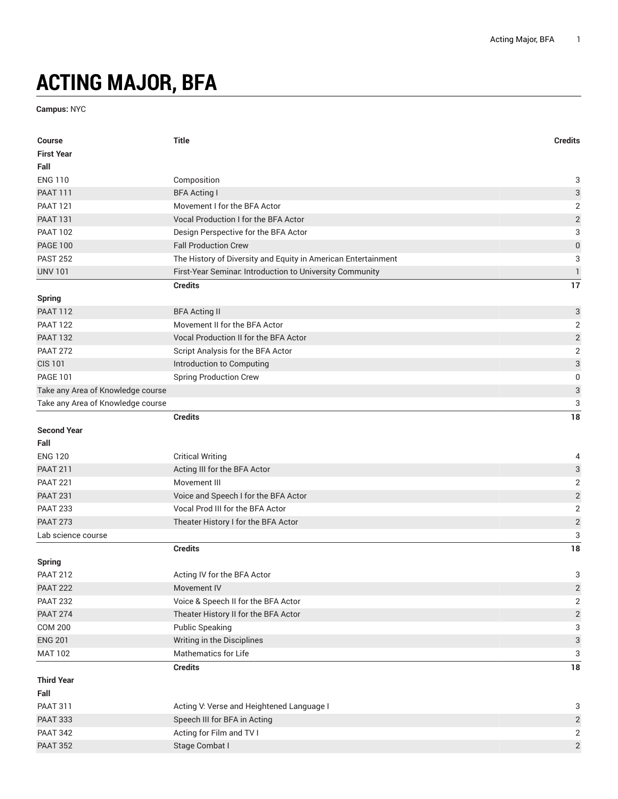## **ACTING MAJOR, BFA**

**Campus:** NYC

| <b>Course</b>                     | <b>Title</b>                                                  | <b>Credits</b>            |
|-----------------------------------|---------------------------------------------------------------|---------------------------|
| <b>First Year</b>                 |                                                               |                           |
| Fall                              |                                                               |                           |
| <b>ENG 110</b>                    | Composition                                                   | 3                         |
| <b>PAAT 111</b>                   | <b>BFA Acting I</b>                                           | 3                         |
| <b>PAAT 121</b>                   | Movement I for the BFA Actor                                  | $\sqrt{2}$                |
| <b>PAAT 131</b>                   | Vocal Production I for the BFA Actor                          | $\overline{\mathbf{c}}$   |
| <b>PAAT 102</b>                   | Design Perspective for the BFA Actor                          | 3                         |
| <b>PAGE 100</b>                   | <b>Fall Production Crew</b>                                   | $\mathbf 0$               |
| <b>PAST 252</b>                   | The History of Diversity and Equity in American Entertainment | 3                         |
| <b>UNV 101</b>                    | First-Year Seminar. Introduction to University Community      | $\mathbf{1}$              |
|                                   | <b>Credits</b>                                                | 17                        |
| <b>Spring</b>                     |                                                               |                           |
| <b>PAAT 112</b>                   | <b>BFA Acting II</b>                                          | $\ensuremath{\mathsf{3}}$ |
| <b>PAAT 122</b>                   | Movement II for the BFA Actor                                 | $\overline{2}$            |
| <b>PAAT 132</b>                   | <b>Vocal Production II for the BFA Actor</b>                  | $\sqrt{2}$                |
| <b>PAAT 272</b>                   | Script Analysis for the BFA Actor                             | $\sqrt{2}$                |
| <b>CIS 101</b>                    | Introduction to Computing                                     | $\ensuremath{\mathsf{3}}$ |
| <b>PAGE 101</b>                   | <b>Spring Production Crew</b>                                 | 0                         |
| Take any Area of Knowledge course |                                                               | $\ensuremath{\mathsf{3}}$ |
| Take any Area of Knowledge course |                                                               | 3                         |
|                                   | <b>Credits</b>                                                | 18                        |
| <b>Second Year</b>                |                                                               |                           |
| Fall                              |                                                               |                           |
| <b>ENG 120</b>                    | <b>Critical Writing</b>                                       | 4                         |
| <b>PAAT 211</b>                   | Acting III for the BFA Actor                                  | $\ensuremath{\mathsf{3}}$ |
| <b>PAAT 221</b>                   | Movement III                                                  | $\sqrt{2}$                |
| <b>PAAT 231</b>                   | Voice and Speech I for the BFA Actor                          | $\sqrt{2}$                |
| <b>PAAT 233</b>                   | Vocal Prod III for the BFA Actor                              | $\mathbf 2$               |
| <b>PAAT 273</b>                   | Theater History I for the BFA Actor                           | $\sqrt{2}$                |
| Lab science course                |                                                               | 3                         |
|                                   | <b>Credits</b>                                                | 18                        |
| <b>Spring</b>                     |                                                               |                           |
| <b>PAAT 212</b>                   | Acting IV for the BFA Actor                                   | 3                         |
| <b>PAAT 222</b>                   | Movement IV                                                   | $\overline{\mathbf{c}}$   |
| <b>PAAT 232</b>                   | Voice & Speech II for the BFA Actor                           | $\overline{c}$            |
| <b>PAAT 274</b>                   | Theater History II for the BFA Actor                          | $\sqrt{2}$                |
| <b>COM 200</b>                    | <b>Public Speaking</b>                                        | 3                         |
| <b>ENG 201</b>                    | Writing in the Disciplines                                    | $\ensuremath{\mathsf{3}}$ |
| <b>MAT 102</b>                    | Mathematics for Life                                          | 3                         |
|                                   | <b>Credits</b>                                                | 18                        |
| <b>Third Year</b>                 |                                                               |                           |
| Fall                              |                                                               |                           |
| <b>PAAT 311</b>                   | Acting V: Verse and Heightened Language I                     | 3                         |
| <b>PAAT 333</b>                   | Speech III for BFA in Acting                                  | $\overline{2}$            |
| <b>PAAT 342</b>                   | Acting for Film and TV I                                      | $\overline{2}$            |
| <b>PAAT 352</b>                   | Stage Combat I                                                | $\sqrt{2}$                |